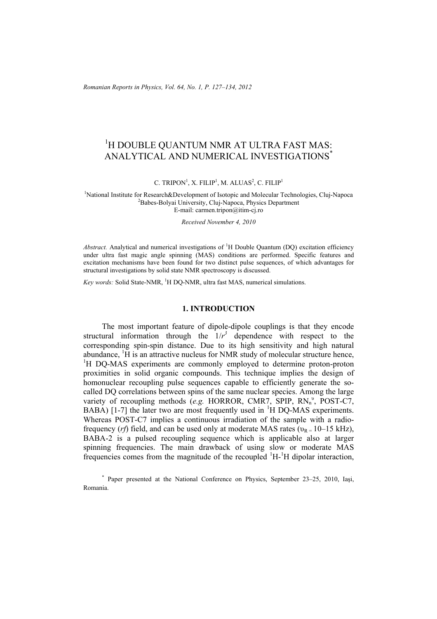*Romanian Reports in Physics, Vol. 64, No. 1, P. 127–134, 2012*

# <sup>1</sup>H DOUBLE QUANTUM NMR AT ULTRA FAST MAS: ANALYTICAL AND NUMERICAL INVESTIGATIONS\*

C. TRIPON<sup>1</sup>, X. FILIP<sup>1</sup>, M. ALUAS<sup>2</sup>, C. FILIP<sup>1</sup>

<sup>1</sup>National Institute for Research&Development of Isotopic and Molecular Technologies, Cluj-Napoca<br><sup>2</sup>Pebec Belvei University Cluj Napoca, Physics Department  ${}^{2}$ Babes-Bolyai University, Clui-Napoca, Physics Department E-mail: carmen.tripon@itim-cj.ro

*Received November 4, 2010* 

Abstract. Analytical and numerical investigations of <sup>1</sup>H Double Quantum (DQ) excitation efficiency under ultra fast magic angle spinning (MAS) conditions are performed. Specific features and excitation mechanisms have been found for two distinct pulse sequences, of which advantages for structural investigations by solid state NMR spectroscopy is discussed.

Key words: Solid State-NMR, <sup>1</sup>H DQ-NMR, ultra fast MAS, numerical simulations.

## **1. INTRODUCTION**

 The most important feature of dipole-dipole couplings is that they encode structural information through the  $1/r^3$  dependence with respect to the corresponding spin-spin distance. Due to its high sensitivity and high natural abundance,  ${}^{1}H$  is an attractive nucleus for NMR study of molecular structure hence, <sup>1</sup>H DQ-MAS experiments are commonly employed to determine proton-proton proximities in solid organic compounds. This technique implies the design of homonuclear recoupling pulse sequences capable to efficiently generate the socalled DQ correlations between spins of the same nuclear species. Among the large variety of recoupling methods (e.g. HORROR, CMR7, SPIP, RN<sub>n</sub><sup>v</sup>, POST-C7, BABA) [1-7] the later two are most frequently used in  ${}^{1}$ H DQ-MAS experiments. Whereas POST-C7 implies a continuous irradiation of the sample with a radiofrequency (*rf*) field, and can be used only at moderate MAS rates ( $v_R = 10-15$  kHz), BABA-2 is a pulsed recoupling sequence which is applicable also at larger spinning frequencies. The main drawback of using slow or moderate MAS frequencies comes from the magnitude of the recoupled  ${}^{1}H-{}^{1}H$  dipolar interaction,

<sup>\*</sup> Paper presented at the National Conference on Physics, September 23–25, 2010, Iaşi, Romania.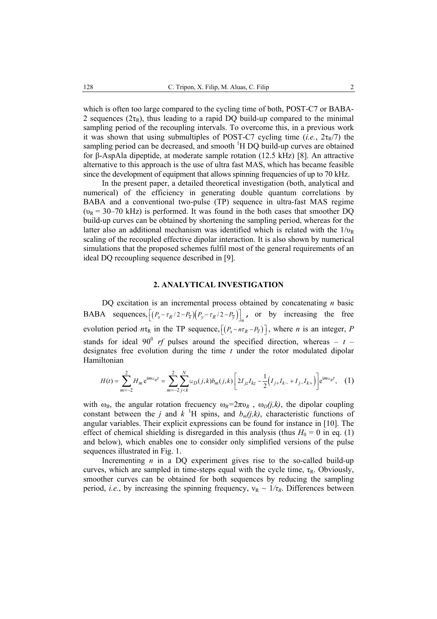which is often too large compared to the cycling time of both, POST-C7 or BABA-2 sequences ( $2\tau_R$ ), thus leading to a rapid DQ build-up compared to the minimal sampling period of the recoupling intervals. To overcome this, in a previous work it was shown that using submultiples of POST-C7 cycling time (*i.e.*,  $2\tau_R/7$ ) the sampling period can be decreased, and smooth <sup>1</sup>H DQ build-up curves are obtained for β-AspAla dipeptide, at moderate sample rotation (12.5 kHz) [8]. An attractive alternative to this approach is the use of ultra fast MAS, which has became feasible since the development of equipment that allows spinning frequencies of up to 70 kHz.

 In the present paper, a detailed theoretical investigation (both, analytical and numerical) of the efficiency in generating double quantum correlations by BABA and a conventional two-pulse (TP) sequence in ultra-fast MAS regime  $(v_R = 30 - 70 \text{ kHz})$  is performed. It was found in the both cases that smoother DQ build-up curves can be obtained by shortening the sampling period, whereas for the latter also an additional mechanism was identified which is related with the  $1/v_R$ scaling of the recoupled effective dipolar interaction. It is also shown by numerical simulations that the proposed schemes fulfil most of the general requirements of an ideal DQ recoupling sequence described in [9].

## **2. ANALYTICAL INVESTIGATION**

 DQ excitation is an incremental process obtained by concatenating *n* basic BABA sequences,  $[(P_x - \tau_R/2 - P_{\overline{x}})(P_y - \tau_R/2 - P_{\overline{y}})]_n$ , or by increasing the free evolution period  $n\tau_R$  in the TP sequence,  $[(P_x - n\tau_R - P_{\overline{x}})]$ , where *n* is an integer, *P* stands for ideal 90<sup>0</sup> *rf* pulses around the specified direction, whereas –  $t$  – designates free evolution during the time *t* under the rotor modulated dipolar Hamiltonian

$$
H(t) = \sum_{m=-2}^{2} H_m e^{im\omega_R t} = \sum_{m=-2}^{2} \sum_{j < k}^{N} \omega_D(j, k) b_m(j, k) \left[ 2I_{jz} I_{kz} - \frac{1}{2} \left( I_{j+1-k} - I_{j-1-k} \right) \right] e^{im\omega_R t}, \quad (1)
$$

with  $\omega_R$ , the angular rotation frecuency  $\omega_R = 2\pi v_R$ ,  $\omega_D(j,k)$ , the dipolar coupling constant between the *j* and  $k$  <sup>1</sup>H spins, and  $b_m(j,k)$ , characteristic functions of angular variables. Their explicit expressions can be found for instance in [10]. The effect of chemical shielding is disregarded in this analysis (thus  $H_0 = 0$  in eq. (1) and below), which enables one to consider only simplified versions of the pulse sequences illustrated in Fig. 1.

 Incrementing *n* in a DQ experiment gives rise to the so-called build-up curves, which are sampled in time-steps equal with the cycle time,  $\tau_R$ . Obviously, smoother curves can be obtained for both sequences by reducing the sampling period, *i.e.*, by increasing the spinning frequency,  $v_R \sim 1/\tau_R$ . Differences between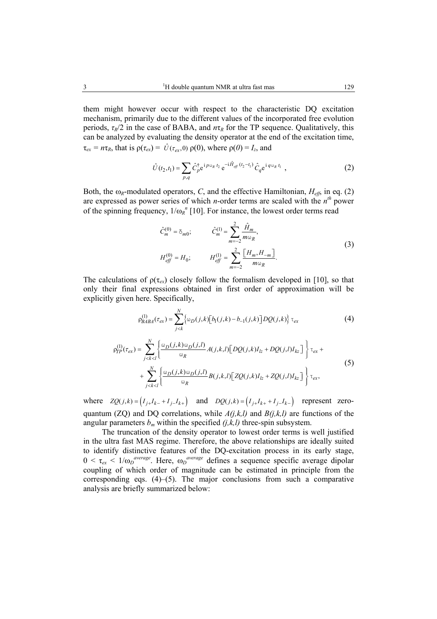periods,  $\tau_R/2$  in the case of BABA, and  $n\tau_R$  for the TP sequence. Qualitatively, this can be analyzed by evaluating the density operator at the end of the excitation time,  $\tau_{ex} = n\tau_R$ , that is  $\rho(\tau_{ex}) = \hat{U}(\tau_{ex}, 0) \rho(0)$ , where  $\rho(0) = I_z$ , and

$$
\hat{U}(t_2, t_1) = \sum_{p,q} \hat{C}_p^{\dagger} e^{i p \omega_R t_2} e^{-i \hat{H}_{\text{eff}}(t_2 - t_1)} \hat{C}_q e^{i q \omega_R t_1} , \qquad (2)
$$

Both, the  $\omega_R$ -modulated operators, *C*, and the effective Hamiltonian,  $H_{\text{eff}}$ , in eq. (2) are expressed as power series of which *n*-order terms are scaled with the *nth* power of the spinning frequency,  $1/\omega_R^{\ n}$  [10]. For instance, the lowest order terms read

$$
\hat{C}_{m}^{(0)} = \delta_{m0}; \qquad \hat{C}_{m}^{(1)} = \sum_{m=-2}^{2} \frac{\hat{H}_{m}}{m \omega_{R}},
$$
\n
$$
H_{\text{eff}}^{(0)} = H_{0}; \qquad H_{\text{eff}}^{(1)} = \sum_{m=-2}^{2} \frac{[H_{m}, H_{-m}]}{m \omega_{R}}.
$$
\n(3)

The calculations of  $\rho(\tau_{ex})$  closely follow the formalism developed in [10], so that only their final expressions obtained in first order of approximation will be explicitly given here. Specifically,

$$
\rho_{BABA}^{(1)}(\tau_{ex}) = \sum_{j < k}^{N} \left\{ \omega_D(j,k) \left[ b_1(j,k) - b_{-1}(j,k) \right] DQ(j,k) \right\} \tau_{ex} \tag{4}
$$

$$
\rho_{IP}^{(1)}(\tau_{ex}) = \sum_{j < k < l}^{N} \left\{ \frac{\omega_D(j, k) \omega_D(j, l)}{\omega_R} A(j, k, l) \left[ DQ(j, k) I_{lz} + DQ(j, l) I_{kz} \right] \right\} \tau_{ex} + + \sum_{j < k < l}^{N} \left\{ \frac{\omega_D(j, k) \omega_D(j, l)}{\omega_R} B(j, k, l) \left[ ZQ(j, k) I_{lz} + ZQ(j, l) I_{kz} \right] \right\} \tau_{ex},\tag{5}
$$

where  $ZQ(j,k) = (I_{j+1}I_{k-} + I_{j-1}I_{k+})$  and  $DQ(j,k) = (I_{j+1}I_{k+} + I_{j-1}I_{k-})$  represent zeroquantum (ZQ) and DQ correlations, while *A(j,k,l)* and *B(j,k,l)* are functions of the angular parameters  $b_m$  within the specified  $(j,k,l)$  three-spin subsystem.

 The truncation of the density operator to lowest order terms is well justified in the ultra fast MAS regime. Therefore, the above relationships are ideally suited to identify distinctive features of the DQ-excitation process in its early stage,  $0 < \tau_{ex} < 1/\omega_D^{average}$ . Here,  $\omega_D^{average}$  defines a sequence specific average dipolar coupling of which order of magnitude can be estimated in principle from the corresponding eqs.  $(4)$ – $(5)$ . The major conclusions from such a comparative analysis are briefly summarized below: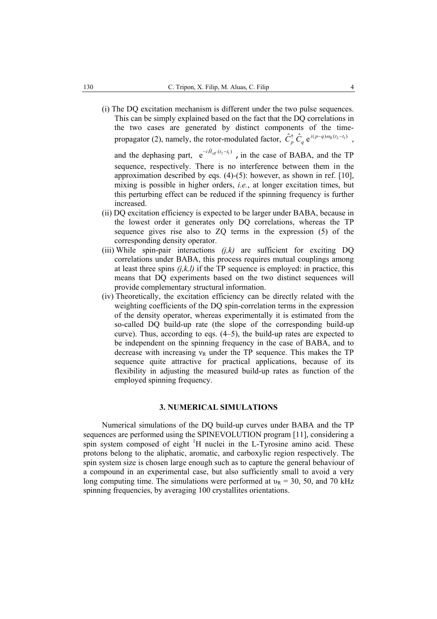(i) The DQ excitation mechanism is different under the two pulse sequences. This can be simply explained based on the fact that the DQ correlations in the two cases are generated by distinct components of the timepropagator (2), namely, the rotor-modulated factor,  $\hat{C}_p^{\dagger} \hat{C}_q e^{i(p-q)\omega_R(t_2-t_1)}$ ,

and the dephasing part,  $e^{-i\hat{H}_{\text{eff}}(t_2 - t_1)}$ , in the case of BABA, and the TP sequence, respectively. There is no interference between them in the approximation described by eqs. (4)-(5): however, as shown in ref. [10], mixing is possible in higher orders, *i.e.*, at longer excitation times, but this perturbing effect can be reduced if the spinning frequency is further increased.

- (ii) DQ excitation efficiency is expected to be larger under BABA, because in the lowest order it generates only DQ correlations, whereas the TP sequence gives rise also to ZQ terms in the expression (5) of the corresponding density operator.
- (iii) While spin-pair interactions  $(i,k)$  are sufficient for exciting DQ correlations under BABA, this process requires mutual couplings among at least three spins  $(i, k, l)$  if the TP sequence is employed: in practice, this means that DQ experiments based on the two distinct sequences will provide complementary structural information.
- (iv) Theoretically, the excitation efficiency can be directly related with the weighting coefficients of the DQ spin-correlation terms in the expression of the density operator, whereas experimentally it is estimated from the so-called DQ build-up rate (the slope of the corresponding build-up curve). Thus, according to eqs. (4–5), the build-up rates are expected to be independent on the spinning frequency in the case of BABA, and to decrease with increasing  $v_R$  under the TP sequence. This makes the TP sequence quite attractive for practical applications, because of its flexibility in adjusting the measured build-up rates as function of the employed spinning frequency.

## **3. NUMERICAL SIMULATIONS**

 Numerical simulations of the DQ build-up curves under BABA and the TP sequences are performed using the SPINEVOLUTION program [11], considering a spin system composed of eight <sup>1</sup>H nuclei in the L-Tyrosine amino acid. These protons belong to the aliphatic, aromatic, and carboxylic region respectively. The spin system size is chosen large enough such as to capture the general behaviour of a compound in an experimental case, but also sufficiently small to avoid a very long computing time. The simulations were performed at  $v_R = 30$ , 50, and 70 kHz spinning frequencies, by averaging 100 crystallites orientations.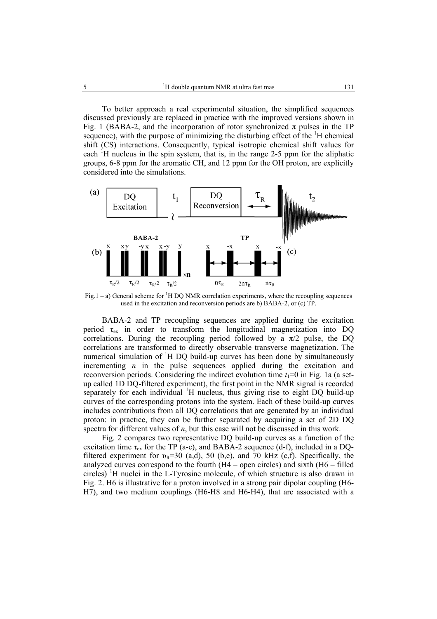To better approach a real experimental situation, the simplified sequences discussed previously are replaced in practice with the improved versions shown in Fig. 1 (BABA-2, and the incorporation of rotor synchronized  $\pi$  pulses in the TP sequence), with the purpose of minimizing the disturbing effect of the  ${}^{1}H$  chemical shift (CS) interactions. Consequently, typical isotropic chemical shift values for each  ${}^{1}$ H nucleus in the spin system, that is, in the range 2-5 ppm for the aliphatic groups, 6-8 ppm for the aromatic CH, and 12 ppm for the OH proton, are explicitly considered into the simulations.



Fig.1 – a) General scheme for <sup>1</sup>H DQ NMR correlation experiments, where the recoupling sequences used in the excitation and reconversion periods are b) BABA-2, or (c) TP.

BABA-2 and TP recoupling sequences are applied during the excitation period  $\tau_{ex}$  in order to transform the longitudinal magnetization into DQ correlations. During the recoupling period followed by a  $\pi/2$  pulse, the DQ correlations are transformed to directly observable transverse magnetization. The numerical simulation of <sup>1</sup>H DQ build-up curves has been done by simultaneously incrementing *n* in the pulse sequences applied during the excitation and reconversion periods. Considering the indirect evolution time  $t_1=0$  in Fig. 1a (a setup called 1D DQ-filtered experiment), the first point in the NMR signal is recorded separately for each individual <sup>1</sup>H nucleus, thus giving rise to eight DQ build-up curves of the corresponding protons into the system. Each of these build-up curves includes contributions from all DQ correlations that are generated by an individual proton: in practice, they can be further separated by acquiring a set of 2D DQ spectra for different values of *n*, but this case will not be discussed in this work.

Fig. 2 compares two representative DQ build-up curves as a function of the excitation time  $\tau_{ex}$  for the TP (a-c), and BABA-2 sequence (d-f), included in a DQfiltered experiment for  $v_R$ =30 (a,d), 50 (b,e), and 70 kHz (c,f). Specifically, the analyzed curves correspond to the fourth (H4 – open circles) and sixth (H6 – filled circles) <sup>1</sup>H nuclei in the L-Tyrosine molecule, of which structure is also drawn in Fig. 2. H6 is illustrative for a proton involved in a strong pair dipolar coupling (H6- H7), and two medium couplings (H6-H8 and H6-H4), that are associated with a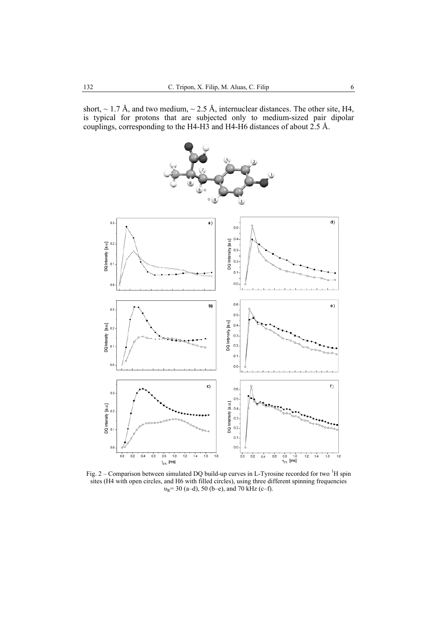short,  $\sim$  1.7 Å, and two medium,  $\sim$  2.5 Å, internuclear distances. The other site, H4, is typical for protons that are subjected only to medium-sized pair dipolar couplings, corresponding to the H4-H3 and H4-H6 distances of about 2.5 Å.



Fig. 2 – Comparison between simulated DQ build-up curves in L-Tyrosine recorded for two  ${}^{1}H$  spin sites (H4 with open circles, and H6 with filled circles), using three different spinning frequencies  $v_R$ = 30 (a–d), 50 (b–e), and 70 kHz (c–f).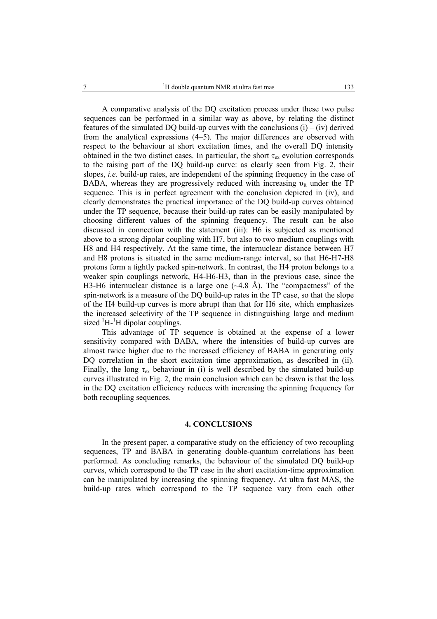A comparative analysis of the DQ excitation process under these two pulse sequences can be performed in a similar way as above, by relating the distinct features of the simulated DO build-up curves with the conclusions  $(i) - (iv)$  derived from the analytical expressions (4–5). The major differences are observed with respect to the behaviour at short excitation times, and the overall DQ intensity obtained in the two distinct cases. In particular, the short  $\tau_{ex}$  evolution corresponds to the raising part of the DQ build-up curve: as clearly seen from Fig. 2, their slopes, *i.e.* build-up rates, are independent of the spinning frequency in the case of BABA, whereas they are progressively reduced with increasing  $v_R$  under the TP sequence. This is in perfect agreement with the conclusion depicted in (iv), and clearly demonstrates the practical importance of the DQ build-up curves obtained under the TP sequence, because their build-up rates can be easily manipulated by choosing different values of the spinning frequency. The result can be also discussed in connection with the statement (iii): H6 is subjected as mentioned above to a strong dipolar coupling with H7, but also to two medium couplings with H8 and H4 respectively. At the same time, the internuclear distance between H7 and H8 protons is situated in the same medium-range interval, so that H6-H7-H8 protons form a tightly packed spin-network. In contrast, the H4 proton belongs to a weaker spin couplings network, H4-H6-H3, than in the previous case, since the H3-H6 internuclear distance is a large one  $(\sim 4.8 \text{ Å})$ . The "compactness" of the spin-network is a measure of the DQ build-up rates in the TP case, so that the slope of the H4 build-up curves is more abrupt than that for H6 site, which emphasizes the increased selectivity of the TP sequence in distinguishing large and medium sized  ${}^{1}H$ - ${}^{1}H$  dipolar couplings.

 This advantage of TP sequence is obtained at the expense of a lower sensitivity compared with BABA, where the intensities of build-up curves are almost twice higher due to the increased efficiency of BABA in generating only DQ correlation in the short excitation time approximation, as described in (ii). Finally, the long  $\tau_{ex}$  behaviour in (i) is well described by the simulated build-up curves illustrated in Fig. 2, the main conclusion which can be drawn is that the loss in the DQ excitation efficiency reduces with increasing the spinning frequency for both recoupling sequences.

## **4. CONCLUSIONS**

In the present paper, a comparative study on the efficiency of two recoupling sequences, TP and BABA in generating double-quantum correlations has been performed. As concluding remarks, the behaviour of the simulated DQ build-up curves, which correspond to the TP case in the short excitation-time approximation can be manipulated by increasing the spinning frequency. At ultra fast MAS, the build-up rates which correspond to the TP sequence vary from each other